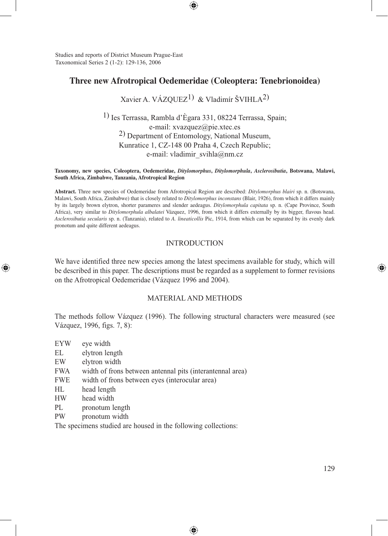Studies and reports of District Museum Prague-East Taxonomical Series 2 (1-2): 129-136, 2006

◈

# **Three new Afrotropical Oedemeridae (Coleoptera: Tenebrionoidea)**

◈

Xavier A. VÁZQUEZ<sup>1</sup>) & Vladimír ŠVIHLA<sup>2</sup>)

1) Ies Terrassa, Rambla d'Ègara 331, 08224 Terrassa, Spain; e-mail: xvazquez@pie.xtec.es 2) Department of Entomology, National Museum, Kunratice 1, CZ-148 00 Praha 4, Czech Republic; e-mail: vladimir\_svihla@nm.cz

#### **Taxonomy, new species, Coleoptera, Oedemeridae,** *Ditylomorphus***,** *Ditylomorphula***,** *Asclerosibutia***, Botswana, Malawi, South Africa, Zimbabwe, Tanzania, Afrotropical Region**

**Abstract.** Three new species of Oedemeridae from Afrotropical Region are described: *Ditylomorphus blairi* sp. n. (Botswana, Malawi, South Africa, Zimbabwe) that is closely related to *Ditylomorphus inconstans* (Blair, 1926), from which it differs mainly by its largely brown elytron, shorter parameres and slender aedeagus. *Ditylomorphula capitata* sp. n. (Cape Province, South Africa), very similar to *Ditylomorphula albalatei* Vázquez, 1996, from which it differs externally by its bigger, flavous head. *Asclerosibutia secularis* sp. n. (Tanzania), related to *A. lineaticollis* Pic, 1914, from which can be separated by its evenly dark pronotum and quite different aedeagus.

### INTRODUCTION

We have identified three new species among the latest specimens available for study, which will be described in this paper. The descriptions must be regarded as a supplement to former revisions on the Afrotropical Oedemeridae (Vázquez 1996 and 2004).

#### MATERIAL AND METHODS

The methods follow Vázquez (1996). The following structural characters were measured (see Vázquez, 1996, figs. 7, 8):

⊕

| <b>EYW</b> | eye width                                                 |
|------------|-----------------------------------------------------------|
| EL         | elytron length                                            |
| EW         | elytron width                                             |
| <b>FWA</b> | width of frons between antennal pits (interantennal area) |
| <b>FWE</b> | width of frons between eyes (interocular area)            |
| HL         | head length                                               |
| HW         | head width                                                |
| PL         | pronotum length                                           |
| PW         | pronotum width                                            |
|            |                                                           |

The specimens studied are housed in the following collections: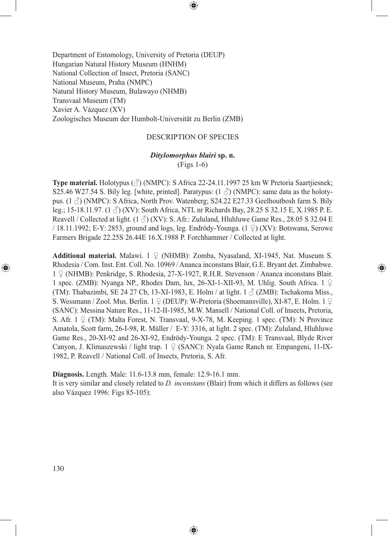Department of Entomology, University of Pretoria (DEUP) Hungarian Natural History Museum (HNHM) National Collection of Insect, Pretoria (SANC) National Museum, Praha (NMPC) Natural History Museum, Bulawayo (NHMB) Transvaal Museum (TM) Xavier A. Vázquez (XV) Zoologisches Museum der Humbolt-Universität zu Berlin (ZMB)

# DESCRIPTION OF SPECIES

 $\textcolor{black}{\textcircled{\tiny \ast}}$ 

## *Ditylomorphus blairi* **sp. n.** (Figs 1-6)

**Type material.** Holotypus (♂) (NMPC): S Africa 22-24.11.1997 25 km W Pretoria Saartjiesnek; S25.46 W27.54 S. Bily leg. [white, printed]. Paratypus:  $(1 \text{ A})$  (NMPC): same data as the holotypus.  $(1 \text{ }\mathcal{S})$  (NMPC): S Africa, North Prov. Watenberg; S24.22 E27.33 Geelhoutbosh farm S. Bily leg.; 15-18.11.97. (1 ♂) (XV): South Africa, NTL nr Richards Bay, 28.25 S 32.15 E, X.1985 P. E. Reavell / Collected at light.  $(1 \text{ } \textcircled{})$  (XV): S. Afr.: Zululand, Hluhluwe Game Res., 28.05 S 32.04 E / 18.11.1992; E-Y: 2853, ground and logs, leg. Endrödy-Younga. (1 ♀) (XV): Botswana, Serowe Farmers Brigade 22.25S 26.44E 16.X.1988 P. Forchhammer / Collected at light.

**Additional material.** Malawi. 1 ♀ (NHMB): Zomba, Nyasaland, XI-1945, Nat. Museum S. Rhodesia / Com. Inst. Ent. Coll. No. 10969 / Ananca inconstans Blair, G.E. Bryant det. Zimbabwe. 1 ♀ (NHMB): Penkridge, S. Rhodesia, 27-X-1927, R.H.R. Stevenson / Ananca inconstans Blair. 1 spec. (ZMB): Nyanga NP., Rhodes Dam, lux, 26-XI-1-XII-93, M. Uhlig. South Africa. 1 ♀ (TM): Thabazimbi, SE 24 27 Cb, 13-XI-1983, E. Holm / at light.  $1 \circ$  (ZMB): Tschakoma Miss., S. Wessmann / Zool. Mus. Berlin. 1 ♀ (DEUP): W-Pretoria (Shoemansville), XI-87, E. Holm. 1 ♀ (SANC): Messina Nature Res., 11-12-II-1985, M.W. Mansell / National Coll. of Insects, Pretoria, S. Afr.  $1 \nsubseteq (TM)$ : Malta Forest, N. Transvaal, 9-X-78, M. Keeping. 1 spec. (TM): N Province Amatola, Scott farm, 26-I-98, R. Müller / E-Y: 3316, at light. 2 spec. (TM): Zululand, Hluhluwe Game Res., 20-XI-92 and 26-XI-92, Endrödy-Younga. 2 spec. (TM): E Transvaal, Blyde River Canyon, J. Klimaszewski / light trap. 1 ♀ (SANC): Nyala Game Ranch nr. Empangeni, 11-IX-1982, P. Reavell / National Coll. of Insects, Pretoria, S. Afr.

⊕

**Diagnosis.** Length. Male: 11.6-13.8 mm, female: 12.9-16.1 mm.

It is very similar and closely related to *D. inconstans* (Blair) from which it differs as follows (see also Vázquez 1996: Figs 85-105):

⊕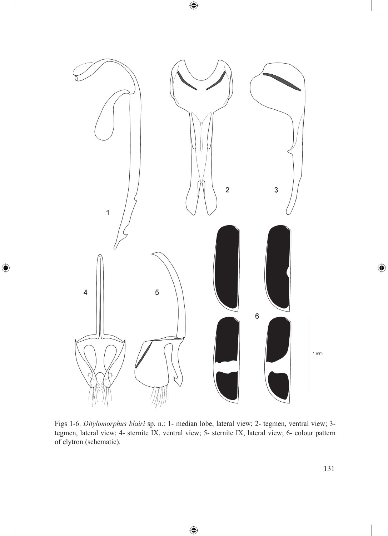$\bigoplus$ 



 $\bigoplus$ 

Figs 1-6. *Ditylomorphus blairi* sp. n.: 1- median lobe, lateral view; 2- tegmen, ventral view; 3 tegmen, lateral view; 4- sternite IX, ventral view; 5- sternite IX, lateral view; 6- colour pattern of elytron (schematic).

⊕

 $\bigoplus$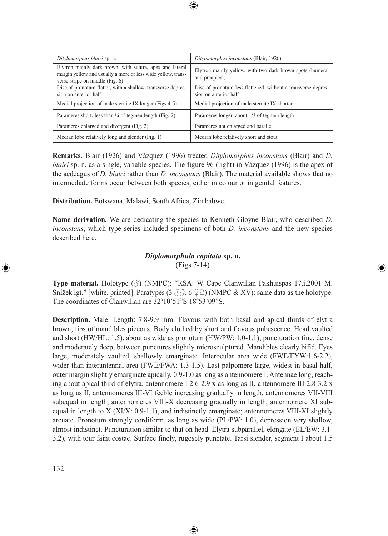| Ditylomorphus blairi sp. n.                                                                                                                                 | Ditylomorphus inconstans (Blair, 1926)                                                 |
|-------------------------------------------------------------------------------------------------------------------------------------------------------------|----------------------------------------------------------------------------------------|
| Elytron mainly dark brown, with suture, apex and lateral<br>margin yellow and usually a more or less wide yellow, trans-<br>verse stripe on middle (Fig. 6) | Elytron mainly yellow, with two dark brown spots (humeral<br>and preapical)            |
| Disc of pronotum flatter, with a shallow, transverse depres-<br>sion on anterior half                                                                       | Disc of pronotum less flattened, without a transverse depres-<br>sion on anterior half |
| Medial projection of male sternite IX longer (Figs 4-5)                                                                                                     | Medial projection of male sternite IX shorter                                          |
| Parameres short, less than $\frac{1}{4}$ of tegmen length (Fig. 2)                                                                                          | Parameres longer, about 1/3 of tegmen length                                           |
| Parameres enlarged and divergent (Fig. 2)                                                                                                                   | Parameres not enlarged and parallel                                                    |
| Median lobe relatively long and slender (Fig. 1)                                                                                                            | Median lobe relatively short and stout                                                 |

 $\textcolor{black}{\textcircled{\tiny \ast}}$ 

**Remarks.** Blair (1926) and Vázquez (1996) treated *Ditylomorphus inconstans* (Blair) and *D. blairi* sp. n. as a single, variable species. The figure 96 (right) in Vázquez (1996) is the apex of the aedeagus of *D. blairi* rather than *D. inconstans* (Blair). The material available shows that no intermediate forms occur between both species, either in colour or in genital features.

**Distribution.** Botswana, Malawi, South Africa, Zimbabwe.

**Name derivation.** We are dedicating the species to Kenneth Gloyne Blair, who described *D. inconstans*, which type series included specimens of both *D. inconstans* and the new species described here.

## *Ditylomorphula capitata* **sp. n.** (Figs 7-14)

⊕

**Type material.** Holotype (♂) (NMPC): "RSA: W Cape Clanwillan Pakhuispas 17.i.2001 M. Snížek lgt." [white, printed]. Paratypes (3  $\Im \Im \Im$ , 6  $\Im \Im$ ) (NMPC & XV): same data as the holotype. The coordinates of Clanwillan are 32º10'51"S 18º53'09"S.

**Description.** Male. Length: 7.8-9.9 mm. Flavous with both basal and apical thirds of elytra brown; tips of mandibles piceous. Body clothed by short and flavous pubescence. Head vaulted and short (HW/HL: 1.5), about as wide as pronotum (HW/PW: 1.0-1.1); puncturation fine, dense and moderately deep, between punctures slightly microsculptured. Mandibles clearly bifid. Eyes large, moderately vaulted, shallowly emarginate. Interocular area wide (FWE/EYW:1.6-2.2), wider than interantennal area (FWE/FWA: 1.3-1.5). Last palpomere large, widest in basal half, outer margin slightly emarginate apically, 0.9-1.0 as long as antennomere I. Antennae long, reaching about apical third of elytra, antennomere I 2.6-2.9 x as long as II, antennomere III 2.8-3.2 x as long as II, antennomeres III-VI feeble increasing gradually in length, antennomeres VII-VIII subequal in length, antennomeres VIII-X decreasing gradually in length, antennomere XI subequal in length to  $X (XIX: 0.9-1.1)$ , and indistinctly emarginate; antennomeres VIII-XI slightly arcuate. Pronotum strongly cordiform, as long as wide (PL/PW: 1.0), depression very shallow, almost indistinct. Puncturation similar to that on head. Elytra subparallel, elongate (EL/EW: 3.1- 3.2), with tour faint costae. Surface finely, rugosely punctate. Tarsi slender, segment I about 1.5

⊕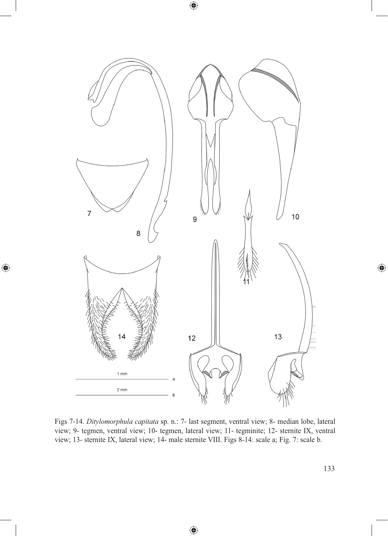$\bigoplus$ 



 $\bigoplus$ 

Figs 7-14. *Ditylomorphula capitata* sp. n.: 7- last segment, ventral view; 8- median lobe, lateral view; 9- tegmen, ventral view; 10- tegmen, lateral view; 11- tegminite; 12- sternite IX, ventral view; 13- sternite IX, lateral view; 14- male sternite VIII. Figs 8-14: scale a; Fig. 7: scale b.

◈

 $\bigoplus$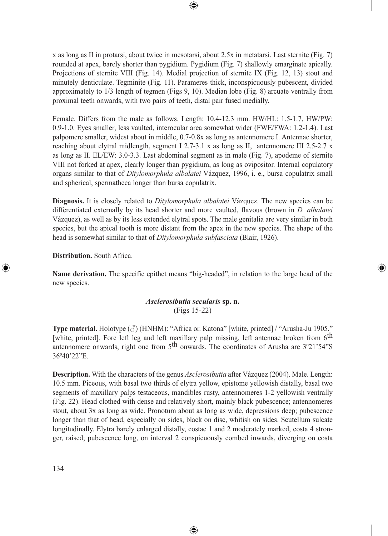x as long as II in protarsi, about twice in mesotarsi, about 2.5x in metatarsi. Last sternite (Fig. 7) rounded at apex, barely shorter than pygidium. Pygidium (Fig. 7) shallowly emarginate apically. Projections of sternite VIII (Fig. 14). Medial projection of sternite IX (Fig. 12, 13) stout and minutely denticulate. Tegminite (Fig. 11). Parameres thick, inconspicuously pubescent, divided approximately to 1/3 length of tegmen (Figs 9, 10). Median lobe (Fig. 8) arcuate ventrally from proximal teeth onwards, with two pairs of teeth, distal pair fused medially.

⊕

Female. Differs from the male as follows. Length: 10.4-12.3 mm. HW/HL: 1.5-1.7, HW/PW: 0.9-1.0. Eyes smaller, less vaulted, interocular area somewhat wider (FWE/FWA: 1.2-1.4). Last palpomere smaller, widest about in middle, 0.7-0.8x as long as antennomere I. Antennae shorter, reaching about elytral midlength, segment I 2.7-3.1 x as long as II, antennomere III 2.5-2.7 x as long as II. EL/EW: 3.0-3.3. Last abdominal segment as in male (Fig. 7), apodeme of sternite VIII not forked at apex, clearly longer than pygidium, as long as ovipositor. Internal copulatory organs similar to that of *Ditylomorphula albalatei* Vázquez, 1996, i. e., bursa copulatrix small and spherical, spermatheca longer than bursa copulatrix.

**Diagnosis.** It is closely related to *Ditylomorphula albalatei* Vázquez. The new species can be differentiated externally by its head shorter and more vaulted, flavous (brown in *D. albalatei* Vázquez), as well as by its less extended elytral spots. The male genitalia are very similar in both species, but the apical tooth is more distant from the apex in the new species. The shape of the head is somewhat similar to that of *Ditylomorphula subfasciata* (Blair, 1926).

**Distribution.** South Africa.

⊕

**Name derivation.** The specific epithet means "big-headed", in relation to the large head of the new species.

⊕

## *Asclerosibutia secularis* **sp. n.** (Figs 15-22)

**Type material.** Holotype (♂) (HNHM): "Africa or. Katona" [white, printed] / "Arusha-Ju 1905." [white, printed]. Fore left leg and left maxillary palp missing, left antennae broken from 6<sup>th</sup> antennomere onwards, right one from 5th onwards. The coordinates of Arusha are 3º21'54"S 36º40'22"E.

**Description.** With the characters of the genus *Asclerosibutia* after Vázquez (2004). Male. Length: 10.5 mm. Piceous, with basal two thirds of elytra yellow, epistome yellowish distally, basal two segments of maxillary palps testaceous, mandibles rusty, antennomeres 1-2 yellowish ventrally (Fig. 22). Head clothed with dense and relatively short, mainly black pubescence; antennomeres stout, about 3x as long as wide. Pronotum about as long as wide, depressions deep; pubescence longer than that of head, especially on sides, black on disc, whitish on sides. Scutellum sulcate longitudinally. Elytra barely enlarged distally, costae 1 and 2 moderately marked, costa 4 stronger, raised; pubescence long, on interval 2 conspicuously combed inwards, diverging on costa

◈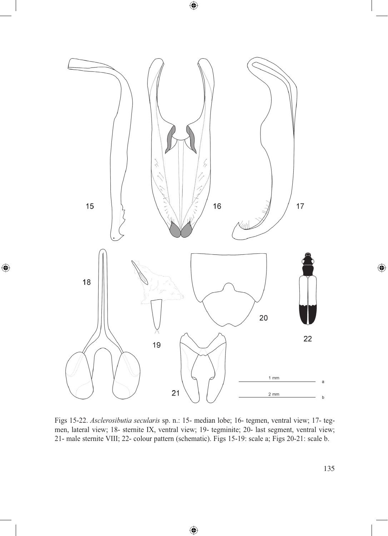

 $\bigoplus$ 

 $\bigoplus$ 

Figs 15-22. *Asclerosibutia secularis* sp. n.: 15- median lobe; 16- tegmen, ventral view; 17- tegmen, lateral view; 18- sternite IX, ventral view; 19- tegminite; 20- last segment, ventral view; 21- male sternite VIII; 22- colour pattern (schematic). Figs 15-19: scale a; Figs 20-21: scale b.

⊕

 $\bigoplus$